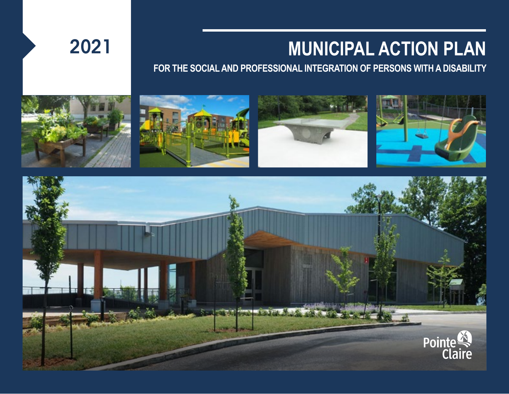# 2021 **MUNICIPAL ACTION PLAN**

**FOR THE SOCIAL AND PROFESSIONAL INTEGRATION OF PERSONS WITH A DISABILITY**



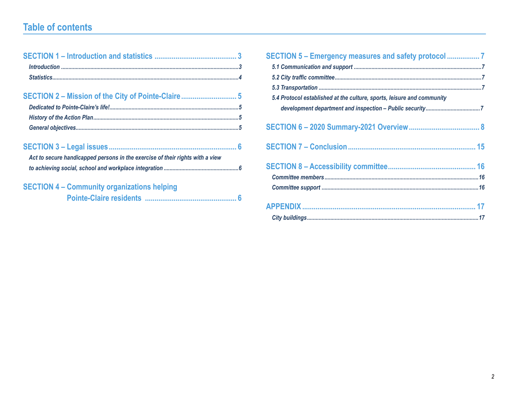# **Table of contents**

| Act to secure handicapped persons in the exercise of their rights with a view |
|-------------------------------------------------------------------------------|
|                                                                               |
| <b>SECTION 4 - Community organizations helping</b>                            |
|                                                                               |

| 5.4 Protocol established at the culture, sports, leisure and community |
|------------------------------------------------------------------------|
|                                                                        |
|                                                                        |
|                                                                        |
|                                                                        |
|                                                                        |
|                                                                        |
|                                                                        |
|                                                                        |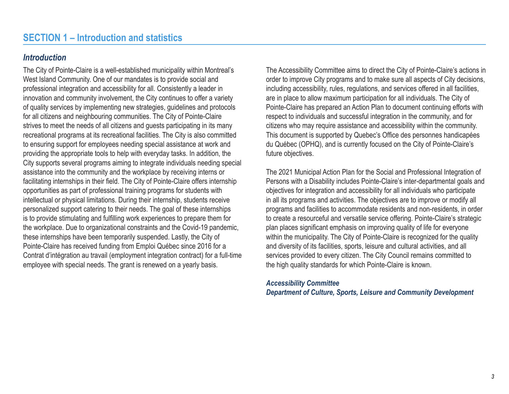#### <span id="page-2-0"></span>*Introduction*

The City of Pointe-Claire is a well-established municipality within Montreal's West Island Community. One of our mandates is to provide social and professional integration and accessibility for all. Consistently a leader in innovation and community involvement, the City continues to offer a variety of quality services by implementing new strategies, guidelines and protocols for all citizens and neighbouring communities. The City of Pointe-Claire strives to meet the needs of all citizens and guests participating in its many recreational programs at its recreational facilities. The City is also committed to ensuring support for employees needing special assistance at work and providing the appropriate tools to help with everyday tasks. In addition, the City supports several programs aiming to integrate individuals needing special assistance into the community and the workplace by receiving interns or facilitating internships in their field. The City of Pointe-Claire offers internship opportunities as part of professional training programs for students with intellectual or physical limitations. During their internship, students receive personalized support catering to their needs. The goal of these internships is to provide stimulating and fulfilling work experiences to prepare them for the workplace. Due to organizational constraints and the Covid-19 pandemic, these internships have been temporarily suspended. Lastly, the City of Pointe-Claire has received funding from Emploi Québec since 2016 for a Contrat d'intégration au travail (employment integration contract) for a full-time employee with special needs. The grant is renewed on a yearly basis.

The Accessibility Committee aims to direct the City of Pointe-Claire's actions in order to improve City programs and to make sure all aspects of City decisions, including accessibility, rules, regulations, and services offered in all facilities, are in place to allow maximum participation for all individuals. The City of Pointe-Claire has prepared an Action Plan to document continuing efforts with respect to individuals and successful integration in the community, and for citizens who may require assistance and accessibility within the community. This document is supported by Quebec's Office des personnes handicapées du Québec (OPHQ), and is currently focused on the City of Pointe-Claire's future objectives.

The 2021 Municipal Action Plan for the Social and Professional Integration of Persons with a Disability includes Pointe-Claire's inter-departmental goals and objectives for integration and accessibility for all individuals who participate in all its programs and activities. The objectives are to improve or modify all programs and facilities to accommodate residents and non-residents, in order to create a resourceful and versatile service offering. Pointe-Claire's strategic plan places significant emphasis on improving quality of life for everyone within the municipality. The City of Pointe-Claire is recognized for the quality and diversity of its facilities, sports, leisure and cultural activities, and all services provided to every citizen. The City Council remains committed to the high quality standards for which Pointe-Claire is known.

#### *Accessibility Committee Department of Culture, Sports, Leisure and Community Development*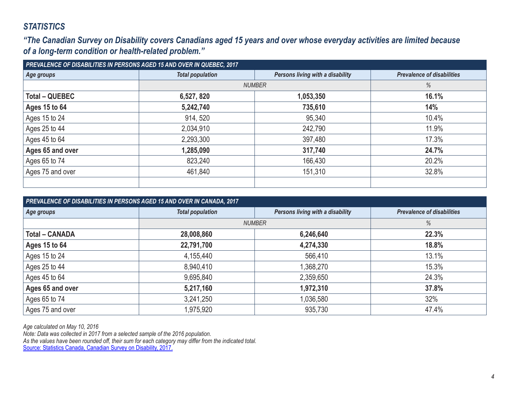## <span id="page-3-0"></span>*STATISTICS*

*"The Canadian Survey on Disability covers Canadians aged 15 years and over whose everyday activities are limited because of a long-term condition or health-related problem."*

| PREVALENCE OF DISABILITIES IN PERSONS AGED 15 AND OVER IN QUEBEC, 2017 |                         |                                  |                                   |  |  |  |
|------------------------------------------------------------------------|-------------------------|----------------------------------|-----------------------------------|--|--|--|
| Age groups                                                             | <b>Total population</b> | Persons living with a disability | <b>Prevalence of disabilities</b> |  |  |  |
|                                                                        |                         | <b>NUMBER</b>                    | %                                 |  |  |  |
| <b>Total - QUEBEC</b>                                                  | 6,527, 820              | 1,053,350                        | 16.1%                             |  |  |  |
| Ages 15 to 64                                                          | 5,242,740               | 735,610                          | 14%                               |  |  |  |
| Ages 15 to 24                                                          | 914, 520                | 95,340                           | 10.4%                             |  |  |  |
| Ages 25 to 44                                                          | 2,034,910               | 242,790                          | 11.9%                             |  |  |  |
| Ages 45 to 64                                                          | 2,293,300               | 397,480                          | 17.3%                             |  |  |  |
| Ages 65 and over                                                       | 1,285,090               | 317,740                          | 24.7%                             |  |  |  |
| Ages 65 to 74                                                          | 823,240                 | 166,430                          | 20.2%                             |  |  |  |
| Ages 75 and over                                                       | 461,840                 | 151,310                          | 32.8%                             |  |  |  |
|                                                                        |                         |                                  |                                   |  |  |  |

| PREVALENCE OF DISABILITIES IN PERSONS AGED 15 AND OVER IN CANADA, 2017 |                         |                                  |                                   |  |  |
|------------------------------------------------------------------------|-------------------------|----------------------------------|-----------------------------------|--|--|
| Age groups                                                             | <b>Total population</b> | Persons living with a disability | <b>Prevalence of disabilities</b> |  |  |
|                                                                        |                         | <b>NUMBER</b>                    | %                                 |  |  |
| <b>Total - CANADA</b>                                                  | 28,008,860              | 6,246,640                        | 22.3%                             |  |  |
| Ages 15 to 64                                                          | 22,791,700              | 4,274,330                        | 18.8%                             |  |  |
| Ages 15 to 24                                                          | 4,155,440               | 566,410                          | 13.1%                             |  |  |
| Ages 25 to 44                                                          | 8,940,410               | 1,368,270                        | 15.3%                             |  |  |
| Ages 45 to 64                                                          | 9,695,840               | 2,359,650                        | 24.3%                             |  |  |
| Ages 65 and over                                                       | 5,217,160               | 1,972,310                        | 37.8%                             |  |  |
| Ages 65 to 74                                                          | 3,241,250               | 1,036,580                        | 32%                               |  |  |
| Ages 75 and over                                                       | 1,975,920               | 935,730                          | 47.4%                             |  |  |

*Age calculated on May 10, 2016*

*Note: Data was collected in 2017 from a selected sample of the 2016 population. As the values have been rounded off, their sum for each category may differ from the indicated total.*  Source: Statistics Canada, Canadian Survey on Disability, 2017.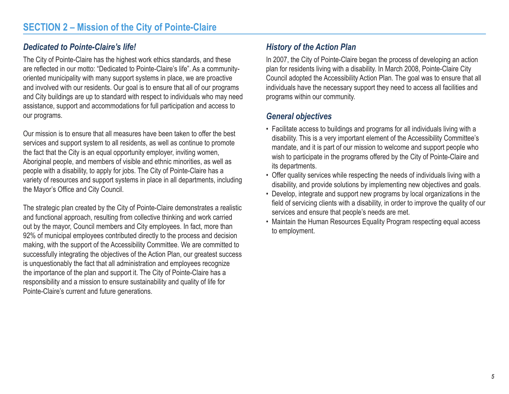# <span id="page-4-0"></span>*Dedicated to Pointe-Claire's life!*

The City of Pointe-Claire has the highest work ethics standards, and these are reflected in our motto: "Dedicated to Pointe-Claire's life". As a communityoriented municipality with many support systems in place, we are proactive and involved with our residents. Our goal is to ensure that all of our programs and City buildings are up to standard with respect to individuals who may need assistance, support and accommodations for full participation and access to our programs.

Our mission is to ensure that all measures have been taken to offer the best services and support system to all residents, as well as continue to promote the fact that the City is an equal opportunity employer, inviting women, Aboriginal people, and members of visible and ethnic minorities, as well as people with a disability, to apply for jobs. The City of Pointe-Claire has a variety of resources and support systems in place in all departments, including the Mayor's Office and City Council.

The strategic plan created by the City of Pointe-Claire demonstrates a realistic and functional approach, resulting from collective thinking and work carried out by the mayor, Council members and City employees. In fact, more than 92% of municipal employees contributed directly to the process and decision making, with the support of the Accessibility Committee. We are committed to successfully integrating the objectives of the Action Plan, our greatest success is unquestionably the fact that all administration and employees recognize the importance of the plan and support it. The City of Pointe-Claire has a responsibility and a mission to ensure sustainability and quality of life for Pointe-Claire's current and future generations.

## *History of the Action Plan*

In 2007, the City of Pointe-Claire began the process of developing an action plan for residents living with a disability. In March 2008, Pointe-Claire City Council adopted the Accessibility Action Plan. The goal was to ensure that all individuals have the necessary support they need to access all facilities and programs within our community.

### *General objectives*

- Facilitate access to buildings and programs for all individuals living with a disability. This is a very important element of the Accessibility Committee's mandate, and it is part of our mission to welcome and support people who wish to participate in the programs offered by the City of Pointe-Claire and its departments.
- Offer quality services while respecting the needs of individuals living with a disability, and provide solutions by implementing new objectives and goals.
- Develop, integrate and support new programs by local organizations in the field of servicing clients with a disability, in order to improve the quality of our services and ensure that people's needs are met.
- Maintain the Human Resources Equality Program respecting equal access to employment.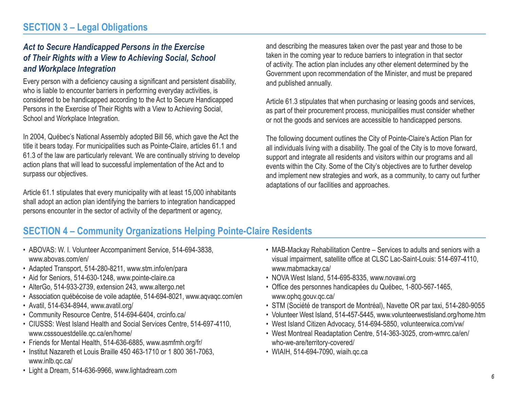#### <span id="page-5-0"></span>*Act to Secure Handicapped Persons in the Exercise of Their Rights with a View to Achieving Social, School and Workplace Integration*

Every person with a deficiency causing a significant and persistent disability, who is liable to encounter barriers in performing everyday activities, is considered to be handicapped according to the Act to Secure Handicapped Persons in the Exercise of Their Rights with a View to Achieving Social, School and Workplace Integration.

In 2004, Québec's National Assembly adopted Bill 56, which gave the Act the title it bears today. For municipalities such as Pointe-Claire, articles 61.1 and 61.3 of the law are particularly relevant. We are continually striving to develop action plans that will lead to successful implementation of the Act and to surpass our objectives.

Article 61.1 stipulates that every municipality with at least 15,000 inhabitants shall adopt an action plan identifying the barriers to integration handicapped persons encounter in the sector of activity of the department or agency,

and describing the measures taken over the past year and those to be taken in the coming year to reduce barriers to integration in that sector of activity. The action plan includes any other element determined by the Government upon recommendation of the Minister, and must be prepared and published annually.

Article 61.3 stipulates that when purchasing or leasing goods and services, as part of their procurement process, municipalities must consider whether or not the goods and services are accessible to handicapped persons.

The following document outlines the City of Pointe-Claire's Action Plan for all individuals living with a disability. The goal of the City is to move forward, support and integrate all residents and visitors within our programs and all events within the City. Some of the City's objectives are to further develop and implement new strategies and work, as a community, to carry out further adaptations of our facilities and approaches.

# **SECTION 4 – Community Organizations Helping Pointe-Claire Residents**

- ABOVAS: W. I. Volunteer Accompaniment Service, 514-694-3838, www.abovas.com/en/
- Adapted Transport, 514-280-8211, www.stm.info/en/para
- Aid for Seniors, 514-630-1248, www.pointe-claire.ca
- AlterGo, 514-933-2739, extension 243, www.altergo.net
- Association québécoise de voile adaptée, 514-694-8021, www.aqvaqc.com/en
- Avatil, 514-634-8944, www.avatil.org/
- Community Resource Centre, 514-694-6404, crcinfo.ca/
- CIUSSS: West Island Health and Social Services Centre, 514-697-4110, www.csssouestdelile.qc.ca/en/home/
- Friends for Mental Health, 514-636-6885, www.asmfmh.org/fr/
- Institut Nazareth et Louis Braille 450 463-1710 or 1 800 361-7063, www.inlb.qc.ca/
- MAB-Mackay Rehabilitation Centre Services to adults and seniors with a visual impairment, satellite office at CLSC Lac-Saint-Louis: 514-697-4110, www.mabmackay.ca/
- NOVA West Island, 514-695-8335, www.novawi.org
- Office des personnes handicapées du Québec, 1-800-567-1465, www.ophq.gouv.qc.ca/
- STM (Société de transport de Montréal), Navette OR par taxi, 514-280-9055
- Volunteer West Island, 514-457-5445, www.volunteerwestisland.org/home.htm
- West Island Citizen Advocacy, 514-694-5850, volunteerwica.com/vw/
- West Montreal Readaptation Centre, 514-363-3025, crom-wmrc.ca/en/ who-we-are/territory-covered/
- WIAIH, 514-694-7090, wiaih.qc.ca

• Light a Dream, 514-636-9966, www.lightadream.com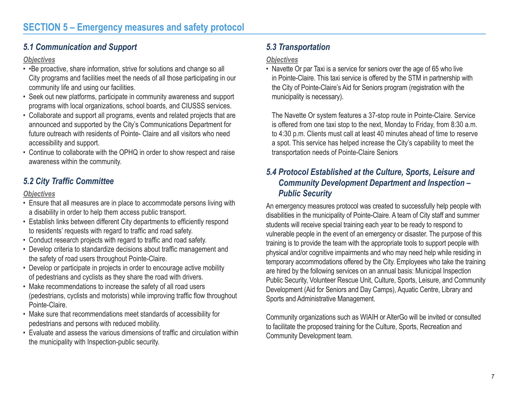# <span id="page-6-0"></span>*5.1 Communication and Support*

#### *Objectives*

- •Be proactive, share information, strive for solutions and change so all City programs and facilities meet the needs of all those participating in our community life and using our facilities.
- Seek out new platforms, participate in community awareness and support programs with local organizations, school boards, and CIUSSS services.
- Collaborate and support all programs, events and related projects that are announced and supported by the City's Communications Department for future outreach with residents of Pointe- Claire and all visitors who need accessibility and support.
- Continue to collaborate with the OPHQ in order to show respect and raise awareness within the community.

# *5.2 City Traffic Committee*

#### *Objectives*

- Ensure that all measures are in place to accommodate persons living with a disability in order to help them access public transport.
- Establish links between different City departments to efficiently respond to residents' requests with regard to traffic and road safety.
- Conduct research projects with regard to traffic and road safety.
- Develop criteria to standardize decisions about traffic management and the safety of road users throughout Pointe-Claire.
- Develop or participate in projects in order to encourage active mobility of pedestrians and cyclists as they share the road with drivers.
- Make recommendations to increase the safety of all road users (pedestrians, cyclists and motorists) while improving traffic flow throughout Pointe-Claire.
- Make sure that recommendations meet standards of accessibility for pedestrians and persons with reduced mobility.
- Evaluate and assess the various dimensions of traffic and circulation within the municipality with Inspection-public security.

# *5.3 Transportation*

#### *Objectives*

• Navette Or par Taxi is a service for seniors over the age of 65 who live in Pointe-Claire. This taxi service is offered by the STM in partnership with the City of Pointe-Claire's Aid for Seniors program (registration with the municipality is necessary).

The Navette Or system features a 37-stop route in Pointe-Claire. Service is offered from one taxi stop to the next, Monday to Friday, from 8:30 a.m. to 4:30 p.m. Clients must call at least 40 minutes ahead of time to reserve a spot. This service has helped increase the City's capability to meet the transportation needs of Pointe-Claire Seniors

## *5.4 Protocol Established at the Culture, Sports, Leisure and Community Development Department and Inspection – Public Security*

An emergency measures protocol was created to successfully help people with disabilities in the municipality of Pointe-Claire. A team of City staff and summer students will receive special training each year to be ready to respond to vulnerable people in the event of an emergency or disaster. The purpose of this training is to provide the team with the appropriate tools to support people with physical and/or cognitive impairments and who may need help while residing in temporary accommodations offered by the City. Employees who take the training are hired by the following services on an annual basis: Municipal Inspection Public Security, Volunteer Rescue Unit, Culture, Sports, Leisure, and Community Development (Aid for Seniors and Day Camps), Aquatic Centre, Library and Sports and Administrative Management.

Community organizations such as WIAIH or AlterGo will be invited or consulted to facilitate the proposed training for the Culture, Sports, Recreation and Community Development team.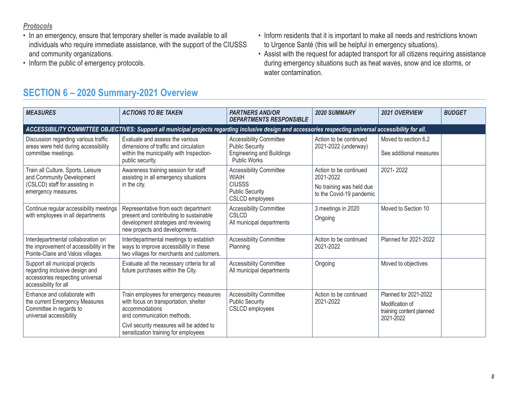#### <span id="page-7-0"></span>*Protocols*

- In an emergency, ensure that temporary shelter is made available to all individuals who require immediate assistance, with the support of the CIUSSS and community organizations.
- Inform the public of emergency protocols.
- Inform residents that it is important to make all needs and restrictions known to Urgence Santé (this will be helpful in emergency situations).
- Assist with the request for adapted transport for all citizens requiring assistance during emergency situations such as heat waves, snow and ice storms, or water contamination.

# **SECTION 6 – 2020 Summary-2021 Overview**

| <b>MEASURES</b>                                                                                                               | <b>ACTIONS TO BE TAKEN</b>                                                                                                                                                                                          | <b>PARTNERS AND/OR</b><br><b>DEPARTMENTS RESPONSIBLE</b>                                                            | <b>2020 SUMMARY</b>                                                                         | 2021 OVERVIEW                                                                     | <b>BUDGET</b> |
|-------------------------------------------------------------------------------------------------------------------------------|---------------------------------------------------------------------------------------------------------------------------------------------------------------------------------------------------------------------|---------------------------------------------------------------------------------------------------------------------|---------------------------------------------------------------------------------------------|-----------------------------------------------------------------------------------|---------------|
|                                                                                                                               | ACCESSIBILITY COMMITTEE OBJECTIVES: Support all municipal projects regarding inclusive design and accessories respecting universal accessibility for all.                                                           |                                                                                                                     |                                                                                             |                                                                                   |               |
| Discussion regarding various traffic<br>areas were held during accessibility<br>committee meetings.                           | Evaluate and assess the various<br>dimensions of traffic and circulation<br>within the municipality with Inspection-<br>public security.                                                                            | <b>Accessibility Committee</b><br><b>Public Security</b><br><b>Engineering and Buildings</b><br><b>Public Works</b> | Action to be continued<br>2021-2022 (underway)                                              | Moved to section 6.2<br>See additional measures                                   |               |
| Train all Culture, Sports, Leisure<br>and Community Development<br>(CSLCD) staff for assisting in<br>emergency measures.      | Awareness training session for staff<br>assisting in all emergency situations<br>in the city.                                                                                                                       | <b>Accessibility Committee</b><br><b>WIAIH</b><br><b>CIUSSS</b><br><b>Public Security</b><br>CSLCD employees        | Action to be continued<br>2021-2022<br>No training was held due<br>to the Covid-19 pandemic | 2021-2022                                                                         |               |
| Continue regular accessibility meetings<br>with employees in all departments                                                  | Representative from each department<br>present and contributing to sustainable<br>development strategies and reviewing<br>new projects and developments.                                                            | <b>Accessibility Committee</b><br><b>CSLCD</b><br>All municipal departments                                         | 3 meetings in 2020<br>Ongoing                                                               | Moved to Section 10                                                               |               |
| Interdepartmental collaboration on<br>the improvement of accessibility in the<br>Pointe-Claire and Valois villages.           | Interdepartmental meetings to establish<br>ways to improve accessibility in these<br>two villages for merchants and customers.                                                                                      | <b>Accessibility Committee</b><br>Planning                                                                          | Action to be continued<br>2021-2022                                                         | Planned for 2021-2022                                                             |               |
| Support all municipal projects<br>regarding inclusive design and<br>accessories respecting universal<br>accessibility for all | Evaluate all the necessary criteria for all<br>future purchases within the City.                                                                                                                                    | <b>Accessibility Committee</b><br>All municipal departments                                                         | Ongoing                                                                                     | Moved to objectives                                                               |               |
| Enhance and collaborate with<br>the current Emergency Measures<br>Committee in regards to<br>universal accessibility          | Train employees for emergency measures<br>with focus on transportation, shelter<br>accommodations<br>and communication methods.<br>Civil security measures will be added to<br>sensitization training for employees | <b>Accessibility Committee</b><br><b>Public Security</b><br><b>CSLCD</b> employees                                  | Action to be continued<br>2021-2022                                                         | Planned for 2021-2022<br>Modification of<br>training content planned<br>2021-2022 |               |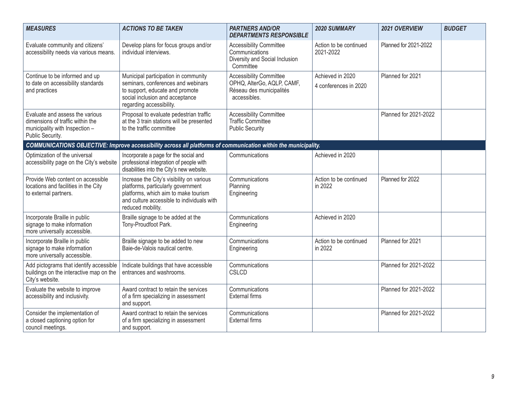| <b>MEASURES</b>                                                                                                           | <b>ACTIONS TO BE TAKEN</b>                                                                                                                                                                 | <b>PARTNERS AND/OR</b><br><b>DEPARTMENTS RESPONSIBLE</b>                                                 | <b>2020 SUMMARY</b>                       | 2021 OVERVIEW         | <b>BUDGET</b> |
|---------------------------------------------------------------------------------------------------------------------------|--------------------------------------------------------------------------------------------------------------------------------------------------------------------------------------------|----------------------------------------------------------------------------------------------------------|-------------------------------------------|-----------------------|---------------|
| Evaluate community and citizens'<br>accessibility needs via various means.                                                | Develop plans for focus groups and/or<br>individual interviews.                                                                                                                            | <b>Accessibility Committee</b><br>Communications<br>Diversity and Social Inclusion<br>Committee          | Action to be continued<br>2021-2022       | Planned for 2021-2022 |               |
| Continue to be informed and up<br>to date on accessibility standards<br>and practices                                     | Municipal participation in community<br>seminars, conferences and webinars<br>to support, educate and promote<br>social inclusion and acceptance<br>regarding accessibility.               | <b>Accessibility Committee</b><br>OPHQ, AlterGo, AQLP, CAMF,<br>Réseau des municipalités<br>accessibles. | Achieved in 2020<br>4 conferences in 2020 | Planned for 2021      |               |
| Evaluate and assess the various<br>dimensions of traffic within the<br>municipality with Inspection -<br>Public Security. | Proposal to evaluate pedestrian traffic<br>at the 3 train stations will be presented<br>to the traffic committee                                                                           | <b>Accessibility Committee</b><br><b>Traffic Committee</b><br><b>Public Security</b>                     |                                           | Planned for 2021-2022 |               |
|                                                                                                                           | COMMUNICATIONS OBJECTIVE: Improve accessibility across all platforms of communication within the municipality.                                                                             |                                                                                                          |                                           |                       |               |
| Optimization of the universal<br>accessibility page on the City's website                                                 | Incorporate a page for the social and<br>professional integration of people with<br>disabilities into the City's new website.                                                              | Communications                                                                                           | Achieved in 2020                          |                       |               |
| Provide Web content on accessible<br>locations and facilities in the City<br>to external partners.                        | Increase the City's visibility on various<br>platforms, particularly government<br>platforms, which aim to make tourism<br>and culture accessible to individuals with<br>reduced mobility. | Communications<br>Planning<br>Engineering                                                                | Action to be continued<br>in 2022         | Planned for 2022      |               |
| Incorporate Braille in public<br>signage to make information<br>more universally accessible.                              | Braille signage to be added at the<br>Tony-Proudfoot Park.                                                                                                                                 | Communications<br>Engineering                                                                            | Achieved in 2020                          |                       |               |
| Incorporate Braille in public<br>signage to make information<br>more universally accessible.                              | Braille signage to be added to new<br>Baie-de-Valois nautical centre.                                                                                                                      | Communications<br>Engineering                                                                            | Action to be continued<br>in 2022         | Planned for 2021      |               |
| Add pictograms that identify accessible<br>buildings on the interactive map on the<br>City's website.                     | Indicate buildings that have accessible<br>entrances and washrooms.                                                                                                                        | Communications<br><b>CSLCD</b>                                                                           |                                           | Planned for 2021-2022 |               |
| Evaluate the website to improve<br>accessibility and inclusivity.                                                         | Award contract to retain the services<br>of a firm specializing in assessment<br>and support.                                                                                              | Communications<br><b>External firms</b>                                                                  |                                           | Planned for 2021-2022 |               |
| Consider the implementation of<br>a closed captioning option for<br>council meetings.                                     | Award contract to retain the services<br>of a firm specializing in assessment<br>and support.                                                                                              | Communications<br><b>External firms</b>                                                                  |                                           | Planned for 2021-2022 |               |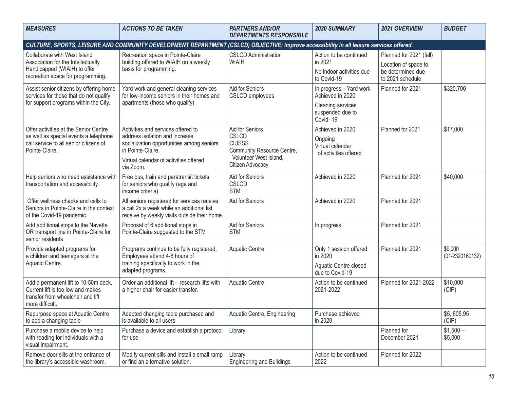| <b>MEASURES</b>                                                                                                                   | <b>ACTIONS TO BE TAKEN</b>                                                                                                               | <b>PARTNERS AND/OR</b><br><b>DEPARTMENTS RESPONSIBLE</b> | 2020 SUMMARY                                       | 2021 OVERVIEW                                                 | <b>BUDGET</b>              |
|-----------------------------------------------------------------------------------------------------------------------------------|------------------------------------------------------------------------------------------------------------------------------------------|----------------------------------------------------------|----------------------------------------------------|---------------------------------------------------------------|----------------------------|
|                                                                                                                                   | CULTURE, SPORTS, LEISURE AND COMMUNITY DEVELOPMENT DEPARTMENT (CSLCD) OBJECTIVE: improve accessibility in all leisure services offered.  |                                                          |                                                    |                                                               |                            |
| Collaborate with West Island                                                                                                      | Recreation space in Pointe-Claire                                                                                                        | <b>CSLCD Administration</b>                              | Action to be continued                             | Planned for 2021 (fall)                                       |                            |
| Association for the Intellectually<br>Handicapped (WIAIH) to offer<br>recreation space for programming.                           | building offered to WIAIH on a weekly<br>basis for programming.                                                                          | <b>WIAIH</b>                                             | in 2021<br>No indoor activities due<br>to Covid-19 | Location of space to<br>be determined due<br>to 2021 schedule |                            |
| Assist senior citizens by offering home<br>services for those that do not qualify                                                 | Yard work and general cleaning services<br>for low-income seniors in their homes and                                                     | Aid for Seniors<br><b>CSLCD</b> employees                | In progress - Yard work<br>Achieved in 2020        | Planned for 2021                                              | \$320,700                  |
| for support programs within the City.                                                                                             | apartments (those who qualify)                                                                                                           |                                                          | Cleaning services<br>suspended due to<br>Covid-19  |                                                               |                            |
| Offer activities at the Senior Centre<br>as well as special events a telephone                                                    | Activities and services offered to<br>address isolation and increase                                                                     | Aid for Seniors<br><b>CSLCD</b>                          | Achieved in 2020<br>Ongoing                        | Planned for 2021                                              | \$17,000                   |
| call service to all senior citizens of<br>Pointe-Claire.<br>in Pointe-Claire.                                                     | socialization opportunities among seniors                                                                                                | <b>CIUSSS</b><br>Community Resource Centre,              | Virtual calendar<br>of activities offered          |                                                               |                            |
|                                                                                                                                   | Virtual calendar of activities offered<br>via Zoom.                                                                                      | Volunteer West Island,<br>Citizen Advocacy               |                                                    |                                                               |                            |
| Help seniors who need assistance with<br>transportation and accessibility.                                                        | Free bus, train and paratransit tickets<br>for seniors who qualify (age and<br>income criteria).                                         | Aid for Seniors<br>CSLCD<br><b>STM</b>                   | Achieved in 2020                                   | Planned for 2021                                              | \$40,000                   |
| Offer wellness checks and calls to<br>Seniors in Pointe-Claire in the context<br>of the Covid-19 pandemic.                        | All seniors registered for services receive<br>a call 2x a week while an additional list<br>receive by weekly visits outside their home. | Aid for Seniors                                          | Achieved in 2020                                   | Planned for 2021                                              |                            |
| Add additional stops to the Navette<br>OR transport line in Pointe-Claire for<br>senior residents                                 | Proposal of 6 additional stops in<br>Pointe-Claire suggested to the STM                                                                  | Aid for Seniors<br><b>STM</b>                            | In progress                                        | Planned for 2021                                              |                            |
| Provide adapted programs for<br>a children and teenagers at the                                                                   | Programs continue to be fully registered.<br>Employees attend 4-6 hours of                                                               | <b>Aquatic Centre</b>                                    | Only 1 session offered<br>in 2020                  | Planned for 2021                                              | \$9,000<br>(01-2320160132) |
| Aquatic Centre.                                                                                                                   | training specifically to work in the<br>adapted programs.                                                                                |                                                          | Aquatic Centre closed<br>due to Covid-19           |                                                               |                            |
| Add a permanent lift to 10-50m deck.<br>Current lift is too low and makes<br>transfer from wheelchair and lift<br>more difficult. | Order an additional lift - research lifts with<br>a higher chair for easier transfer.                                                    | <b>Aquatic Centre</b>                                    | Action to be continued<br>2021-2022                | Planned for 2021-2022                                         | \$10,000<br>(CIP)          |
| Repurpose space at Aquatic Centre<br>to add a changing table                                                                      | Adapted changing table purchased and<br>is available to all users                                                                        | Aquatic Centre, Engineering                              | Purchase achieved<br>in 2020                       |                                                               | \$5,605.95<br>(CIP)        |
| Purchase a mobile device to help<br>with reading for individuals with a<br>visual impairment.                                     | Purchase a device and establish a protocol<br>for use.                                                                                   | Library                                                  |                                                    | Planned for<br>December 2021                                  | $$1,500-$<br>\$5,000       |
| Remove door sills at the entrance of<br>the library's accessible washroom.                                                        | Modify current sills and install a small ramp<br>or find an alternative solution.                                                        | Library<br><b>Engineering and Buildings</b>              | Action to be continued<br>2022                     | Planned for 2022                                              |                            |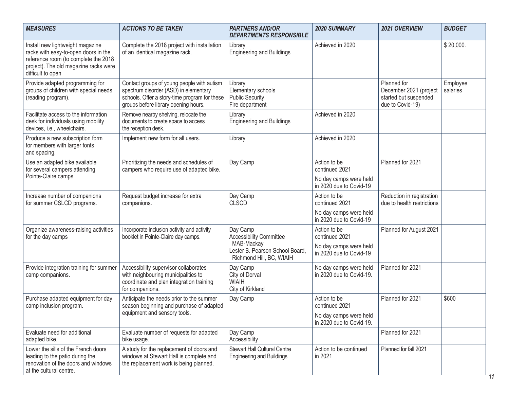| <b>MEASURES</b>                                                                                                                                                                | <b>ACTIONS TO BE TAKEN</b>                                                                                                                                                   | <b>PARTNERS AND/OR</b><br><b>DEPARTMENTS RESPONSIBLE</b>                   | 2020 SUMMARY                                       | 2021 OVERVIEW                                                                      | <b>BUDGET</b>        |
|--------------------------------------------------------------------------------------------------------------------------------------------------------------------------------|------------------------------------------------------------------------------------------------------------------------------------------------------------------------------|----------------------------------------------------------------------------|----------------------------------------------------|------------------------------------------------------------------------------------|----------------------|
| Install new lightweight magazine<br>racks with easy-to-open doors in the<br>reference room (to complete the 2018<br>project). The old magazine racks were<br>difficult to open | Complete the 2018 project with installation<br>of an identical magazine rack.                                                                                                | Library<br><b>Engineering and Buildings</b>                                | Achieved in 2020                                   |                                                                                    | \$20,000.            |
| Provide adapted programming for<br>groups of children with special needs<br>(reading program).                                                                                 | Contact groups of young people with autism<br>spectrum disorder (ASD) in elementary<br>schools. Offer a story-time program for these<br>groups before library opening hours. | Library<br>Elementary schools<br><b>Public Security</b><br>Fire department |                                                    | Planned for<br>December 2021 (project<br>started but suspended<br>due to Covid-19) | Employee<br>salaries |
| Facilitate access to the information<br>desk for individuals using mobility<br>devices, i.e., wheelchairs.                                                                     | Remove nearby shelving, relocate the<br>documents to create space to access<br>the reception desk.                                                                           | Library<br><b>Engineering and Buildings</b>                                | Achieved in 2020                                   |                                                                                    |                      |
| Produce a new subscription form<br>for members with larger fonts<br>and spacing.                                                                                               | Implement new form for all users.                                                                                                                                            | Library                                                                    | Achieved in 2020                                   |                                                                                    |                      |
| Use an adapted bike available<br>for several campers attending                                                                                                                 | Prioritizing the needs and schedules of<br>campers who require use of adapted bike.                                                                                          | Day Camp                                                                   | Action to be<br>continued 2021                     | Planned for 2021                                                                   |                      |
| Pointe-Claire camps.                                                                                                                                                           |                                                                                                                                                                              |                                                                            | No day camps were held<br>in 2020 due to Covid-19  |                                                                                    |                      |
| Increase number of companions<br>for summer CSLCD programs.                                                                                                                    | Request budget increase for extra<br>companions.                                                                                                                             | Day Camp<br><b>CLSCD</b>                                                   | Action to be<br>continued 2021                     | Reduction in registration<br>due to health restrictions                            |                      |
|                                                                                                                                                                                |                                                                                                                                                                              |                                                                            | No day camps were held<br>in 2020 due to Covid-19  |                                                                                    |                      |
| Organize awareness-raising activities<br>for the day camps                                                                                                                     | Incorporate inclusion activity and activity<br>booklet in Pointe-Claire day camps.                                                                                           | Day Camp<br><b>Accessibility Committee</b>                                 | Action to be<br>continued 2021                     | Planned for August 2021                                                            |                      |
|                                                                                                                                                                                |                                                                                                                                                                              | MAB-Mackay<br>Lester B. Pearson School Board,<br>Richmond Hill, BC, WIAIH  | No day camps were held<br>in 2020 due to Covid-19  |                                                                                    |                      |
| Provide integration training for summer<br>camp companions.                                                                                                                    | Accessibility supervisor collaborates<br>with neighbouring municipalities to<br>coordinate and plan integration training<br>for companions.                                  | Day Camp<br>City of Dorval<br><b>WIAIH</b><br>City of Kirkland             | No day camps were held<br>in 2020 due to Covid-19. | Planned for 2021                                                                   |                      |
| Purchase adapted equipment for day<br>camp inclusion program.                                                                                                                  | Anticipate the needs prior to the summer<br>season beginning and purchase of adapted                                                                                         | Day Camp                                                                   | Action to be<br>continued 2021                     | Planned for 2021                                                                   | \$600                |
|                                                                                                                                                                                | equipment and sensory tools.                                                                                                                                                 |                                                                            | No day camps were held<br>in 2020 due to Covid-19. |                                                                                    |                      |
| Evaluate need for additional<br>adapted bike.                                                                                                                                  | Evaluate number of requests for adapted<br>bike usage.                                                                                                                       | Day Camp<br>Accessibility                                                  |                                                    | Planned for 2021                                                                   |                      |
| Lower the sills of the French doors<br>leading to the patio during the<br>renovation of the doors and windows<br>at the cultural centre.                                       | A study for the replacement of doors and<br>windows at Stewart Hall is complete and<br>the replacement work is being planned.                                                | <b>Stewart Hall Cultural Centre</b><br><b>Engineering and Buildings</b>    | Action to be continued<br>in 2021                  | Planned for fall 2021                                                              |                      |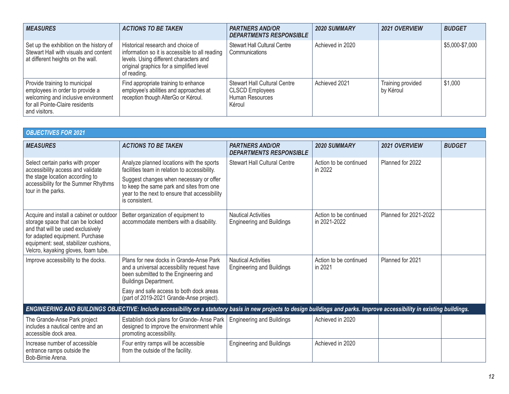| <b>MEASURES</b>                                                                                                                                             | <b>ACTIONS TO BE TAKEN</b>                                                                                                                                                               | <b>PARTNERS AND/OR</b><br><b>DEPARTMENTS RESPONSIBLE</b>                                   | <b>2020 SUMMARY</b> | <b>2021 OVERVIEW</b>           | <b>BUDGET</b>   |
|-------------------------------------------------------------------------------------------------------------------------------------------------------------|------------------------------------------------------------------------------------------------------------------------------------------------------------------------------------------|--------------------------------------------------------------------------------------------|---------------------|--------------------------------|-----------------|
| Set up the exhibition on the history of<br>Stewart Hall with visuals and content<br>at different heights on the wall.                                       | Historical research and choice of<br>information so it is accessible to all reading<br>levels. Using different characters and<br>original graphics for a simplified level<br>of reading. | <b>Stewart Hall Cultural Centre</b><br>Communications                                      | Achieved in 2020    |                                | \$5,000-\$7,000 |
| Provide training to municipal<br>employees in order to provide a<br>welcoming and inclusive environment<br>for all Pointe-Claire residents<br>and visitors. | Find appropriate training to enhance<br>employee's abilities and approaches at<br>reception though AlterGo or Kéroul.                                                                    | <b>Stewart Hall Cultural Centre</b><br><b>CLSCD Employees</b><br>Human Resources<br>Kéroul | Achieved 2021       | Training provided<br>by Kéroul | \$1,000         |

| <b>OBJECTIVES FOR 2021</b>                                                                                                                                                                                                           |                                                                                                                                                                             |                                                                |                                        |                       |               |
|--------------------------------------------------------------------------------------------------------------------------------------------------------------------------------------------------------------------------------------|-----------------------------------------------------------------------------------------------------------------------------------------------------------------------------|----------------------------------------------------------------|----------------------------------------|-----------------------|---------------|
| <b>MEASURES</b>                                                                                                                                                                                                                      | <b>ACTIONS TO BE TAKEN</b>                                                                                                                                                  | <b>PARTNERS AND/OR</b><br><b>DEPARTMENTS RESPONSIBLE</b>       | <b>2020 SUMMARY</b>                    | 2021 OVERVIEW         | <b>BUDGET</b> |
| Select certain parks with proper<br>accessibility access and validate<br>the stage location according to                                                                                                                             | Analyze planned locations with the sports<br>facilities team in relation to accessibility.<br>Suggest changes when necessary or offer                                       | <b>Stewart Hall Cultural Centre</b>                            | Action to be continued<br>in 2022      | Planned for 2022      |               |
| accessibility for the Summer Rhythms<br>tour in the parks.                                                                                                                                                                           | to keep the same park and sites from one<br>year to the next to ensure that accessibility<br>is consistent.                                                                 |                                                                |                                        |                       |               |
| Acquire and install a cabinet or outdoor<br>storage space that can be locked<br>and that will be used exclusively<br>for adapted equipment. Purchase<br>equipment: seat, stabilizer cushions,<br>Velcro, kayaking gloves, foam tube. | Better organization of equipment to<br>accommodate members with a disability.                                                                                               | <b>Nautical Activities</b><br><b>Engineering and Buildings</b> | Action to be continued<br>in 2021-2022 | Planned for 2021-2022 |               |
| Improve accessibility to the docks.                                                                                                                                                                                                  | Plans for new docks in Grande-Anse Park<br>and a universal accessibility request have<br>been submitted to the Engineering and<br>Buildings Department.                     | <b>Nautical Activities</b><br><b>Engineering and Buildings</b> | Action to be continued<br>in 2021      | Planned for 2021      |               |
|                                                                                                                                                                                                                                      | Easy and safe access to both dock areas<br>(part of 2019-2021 Grande-Anse project).                                                                                         |                                                                |                                        |                       |               |
|                                                                                                                                                                                                                                      | ENGINEERING AND BUILDINGS OBJECTIVE: Include accessibility on a statutory basis in new projects to design buildings and parks. Improve accessibility in existing buildings. |                                                                |                                        |                       |               |
| The Grande-Anse Park project<br>includes a nautical centre and an<br>accessible dock area.                                                                                                                                           | Establish dock plans for Grande-Anse Park<br>designed to improve the environment while<br>promoting accessibility.                                                          | <b>Engineering and Buildings</b>                               | Achieved in 2020                       |                       |               |
| Increase number of accessible<br>entrance ramps outside the<br>Bob-Birnie Arena.                                                                                                                                                     | Four entry ramps will be accessible<br>from the outside of the facility.                                                                                                    | <b>Engineering and Buildings</b>                               | Achieved in 2020                       |                       |               |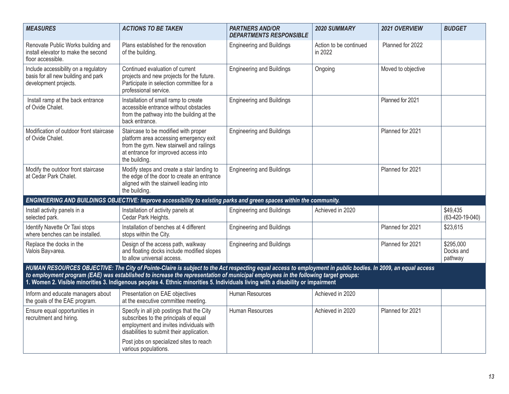| <b>MEASURES</b>                                                                                       | <b>ACTIONS TO BE TAKEN</b>                                                                                                                                                                                                                                                                                                                                                                                                          | <b>PARTNERS AND/OR</b><br><b>DEPARTMENTS RESPONSIBLE</b> | 2020 SUMMARY                      | 2021 OVERVIEW      | <b>BUDGET</b>                     |
|-------------------------------------------------------------------------------------------------------|-------------------------------------------------------------------------------------------------------------------------------------------------------------------------------------------------------------------------------------------------------------------------------------------------------------------------------------------------------------------------------------------------------------------------------------|----------------------------------------------------------|-----------------------------------|--------------------|-----------------------------------|
| Renovate Public Works building and<br>install elevator to make the second<br>floor accessible.        | Plans established for the renovation<br>of the building.                                                                                                                                                                                                                                                                                                                                                                            | <b>Engineering and Buildings</b>                         | Action to be continued<br>in 2022 | Planned for 2022   |                                   |
| Include accessibility on a regulatory<br>basis for all new building and park<br>development projects. | Continued evaluation of current<br>projects and new projects for the future.<br>Participate in selection committee for a<br>professional service.                                                                                                                                                                                                                                                                                   | <b>Engineering and Buildings</b>                         | Ongoing                           | Moved to objective |                                   |
| Install ramp at the back entrance<br>of Ovide Chalet.                                                 | Installation of small ramp to create<br>accessible entrance without obstacles<br>from the pathway into the building at the<br>back entrance.                                                                                                                                                                                                                                                                                        | <b>Engineering and Buildings</b>                         |                                   | Planned for 2021   |                                   |
| Modification of outdoor front staircase<br>of Ovide Chalet.                                           | Staircase to be modified with proper<br>platform area accessing emergency exit<br>from the gym. New stairwell and railings<br>at entrance for improved access into<br>the building.                                                                                                                                                                                                                                                 | <b>Engineering and Buildings</b>                         |                                   | Planned for 2021   |                                   |
| Modify the outdoor front staircase<br>at Cedar Park Chalet.                                           | Modify steps and create a stair landing to<br>the edge of the door to create an entrance<br>aligned with the stairwell leading into<br>the building.                                                                                                                                                                                                                                                                                | <b>Engineering and Buildings</b>                         |                                   | Planned for 2021   |                                   |
|                                                                                                       | ENGINEERING AND BUILDINGS OBJECTIVE: Improve accessibility to existing parks and green spaces within the community.                                                                                                                                                                                                                                                                                                                 |                                                          |                                   |                    |                                   |
| Install activity panels in a<br>selected park.                                                        | Installation of activity panels at<br>Cedar Park Heights.                                                                                                                                                                                                                                                                                                                                                                           | <b>Engineering and Buildings</b>                         | Achieved in 2020                  |                    | \$49,435<br>$(63-420-19-040)$     |
| Identify Navette Or Taxi stops<br>where benches can be installed.                                     | Installation of benches at 4 different<br>stops within the City.                                                                                                                                                                                                                                                                                                                                                                    | <b>Engineering and Buildings</b>                         |                                   | Planned for 2021   | \$23,615                          |
| Replace the docks in the<br>Valois Bay» area.                                                         | Design of the access path, walkway<br>and floating docks include modified slopes<br>to allow universal access.                                                                                                                                                                                                                                                                                                                      | <b>Engineering and Buildings</b>                         |                                   | Planned for 2021   | \$295,000<br>Docks and<br>pathway |
|                                                                                                       | HUMAN RESOURCES OBJECTIVE: The City of Pointe-Claire is subject to the Act respecting equal access to employment in public bodies. In 2009, an equal access<br>to employment program (EAE) was established to increase the representation of municipal employees in the following target groups:<br>1. Women 2. Visible minorities 3. Indigenous peoples 4. Ethnic minorities 5. Individuals living with a disability or impairment |                                                          |                                   |                    |                                   |
| Inform and educate managers about<br>the goals of the EAE program.                                    | Presentation on EAE objectives<br>at the executive committee meeting.                                                                                                                                                                                                                                                                                                                                                               | Human Resources                                          | Achieved in 2020                  |                    |                                   |
| Ensure equal opportunities in<br>recruitment and hiring.                                              | Specify in all job postings that the City<br>subscribes to the principals of equal<br>employment and invites individuals with<br>disabilities to submit their application.                                                                                                                                                                                                                                                          | Human Resources                                          | Achieved in 2020                  | Planned for 2021   |                                   |
|                                                                                                       | Post jobs on specialized sites to reach<br>various populations.                                                                                                                                                                                                                                                                                                                                                                     |                                                          |                                   |                    |                                   |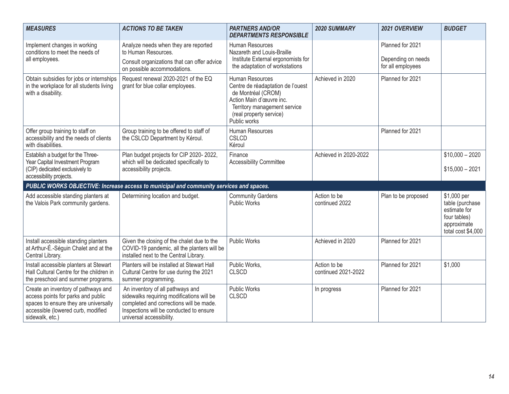| <b>MEASURES</b>                                                                                                                                                             | <b>ACTIONS TO BE TAKEN</b>                                                                                                                                                                      | <b>PARTNERS AND/OR</b><br><b>DEPARTMENTS RESPONSIBLE</b>                                                                                                                          | <b>2020 SUMMARY</b>                 | 2021 OVERVIEW                          | <b>BUDGET</b>                                                                                       |
|-----------------------------------------------------------------------------------------------------------------------------------------------------------------------------|-------------------------------------------------------------------------------------------------------------------------------------------------------------------------------------------------|-----------------------------------------------------------------------------------------------------------------------------------------------------------------------------------|-------------------------------------|----------------------------------------|-----------------------------------------------------------------------------------------------------|
| Implement changes in working<br>conditions to meet the needs of<br>all employees.                                                                                           | Analyze needs when they are reported<br>to Human Resources.<br>Consult organizations that can offer advice                                                                                      | Human Resources<br>Nazareth and Louis-Braille<br>Institute External ergonomists for                                                                                               |                                     | Planned for 2021<br>Depending on needs |                                                                                                     |
|                                                                                                                                                                             | on possible accommodations.                                                                                                                                                                     | the adaptation of workstations                                                                                                                                                    |                                     | for all employees                      |                                                                                                     |
| Obtain subsidies for jobs or internships<br>in the workplace for all students living<br>with a disability.                                                                  | Request renewal 2020-2021 of the EQ<br>grant for blue collar employees.                                                                                                                         | Human Resources<br>Centre de réadaptation de l'ouest<br>de Montréal (CROM)<br>Action Main d'œuvre inc.<br>Territory management service<br>(real property service)<br>Public works | Achieved in 2020                    | Planned for 2021                       |                                                                                                     |
| Offer group training to staff on<br>accessibility and the needs of clients<br>with disabilities.                                                                            | Group training to be offered to staff of<br>the CSLCD Department by Kéroul.                                                                                                                     | Human Resources<br><b>CSLCD</b><br>Kéroul                                                                                                                                         |                                     | Planned for 2021                       |                                                                                                     |
| Establish a budget for the Three-                                                                                                                                           | Plan budget projects for CIP 2020-2022,                                                                                                                                                         | Finance                                                                                                                                                                           | Achieved in 2020-2022               |                                        | $$10,000 - 2020$                                                                                    |
| Year Capital Investment Program<br>(CIP) dedicated exclusively to<br>accessibility projects.                                                                                | which will be dedicated specifically to<br>accessibility projects.                                                                                                                              | <b>Accessibility Committee</b>                                                                                                                                                    |                                     |                                        | $$15,000 - 2021$                                                                                    |
|                                                                                                                                                                             | PUBLIC WORKS OBJECTIVE: Increase access to municipal and community services and spaces.                                                                                                         |                                                                                                                                                                                   |                                     |                                        |                                                                                                     |
| Add accessible standing planters at<br>the Valois Park community gardens.                                                                                                   | Determining location and budget.                                                                                                                                                                | <b>Community Gardens</b><br><b>Public Works</b>                                                                                                                                   | Action to be<br>continued 2022      | Plan to be proposed                    | \$1,000 per<br>table (purchase<br>estimate for<br>four tables)<br>approximate<br>total cost \$4,000 |
| Install accessible standing planters<br>at Arthur-É.-Séguin Chalet and at the<br>Central Library.                                                                           | Given the closing of the chalet due to the<br>COVID-19 pandemic, all the planters will be<br>installed next to the Central Library.                                                             | <b>Public Works</b>                                                                                                                                                               | Achieved in 2020                    | Planned for 2021                       |                                                                                                     |
| Install accessible planters at Stewart<br>Hall Cultural Centre for the children in<br>the preschool and summer programs.                                                    | Planters will be installed at Stewart Hall<br>Cultural Centre for use during the 2021<br>summer programming.                                                                                    | Public Works,<br><b>CLSCD</b>                                                                                                                                                     | Action to be<br>continued 2021-2022 | Planned for 2021                       | \$1,000                                                                                             |
| Create an inventory of pathways and<br>access points for parks and public<br>spaces to ensure they are universally<br>accessible (lowered curb, modified<br>sidewalk, etc.) | An inventory of all pathways and<br>sidewalks requiring modifications will be<br>completed and corrections will be made.<br>Inspections will be conducted to ensure<br>universal accessibility. | <b>Public Works</b><br><b>CLSCD</b>                                                                                                                                               | In progress                         | Planned for 2021                       |                                                                                                     |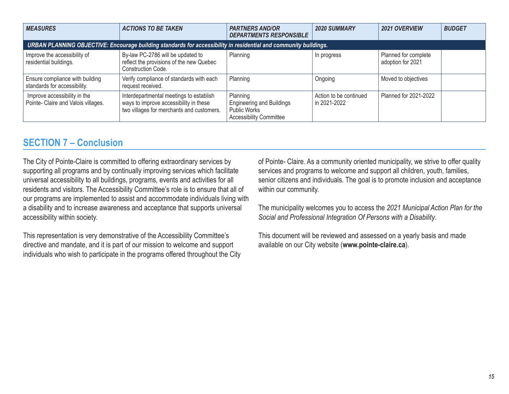<span id="page-14-0"></span>

| <b>MEASURES</b>                                                                                                  | <b>ACTIONS TO BE TAKEN</b>                                                                                                     | <b>PARTNERS AND/OR</b><br><b>DEPARTMENTS RESPONSIBLE</b>                                              | <b>2020 SUMMARY</b>                    | 2021 OVERVIEW                             | <b>BUDGET</b> |  |
|------------------------------------------------------------------------------------------------------------------|--------------------------------------------------------------------------------------------------------------------------------|-------------------------------------------------------------------------------------------------------|----------------------------------------|-------------------------------------------|---------------|--|
| URBAN PLANNING OBJECTIVE: Encourage building standards for accessibility in residential and community buildings. |                                                                                                                                |                                                                                                       |                                        |                                           |               |  |
| Improve the accessibility of<br>residential buildings.                                                           | By-law PC-2786 will be updated to<br>reflect the provisions of the new Quebec<br>Construction Code.                            | Planning                                                                                              | In progress                            | Planned for complete<br>adoption for 2021 |               |  |
| Ensure compliance with building<br>standards for accessibility.                                                  | Verify compliance of standards with each<br>request received.                                                                  | Planning                                                                                              | Ongoing                                | Moved to objectives                       |               |  |
| Improve accessibility in the<br>Pointe- Claire and Valois villages.                                              | Interdepartmental meetings to establish<br>ways to improve accessibility in these<br>two villages for merchants and customers. | Planning<br><b>Engineering and Buildings</b><br><b>Public Works</b><br><b>Accessibility Committee</b> | Action to be continued<br>in 2021-2022 | Planned for 2021-2022                     |               |  |

## **SECTION 7 – Conclusion**

The City of Pointe-Claire is committed to offering extraordinary services by supporting all programs and by continually improving services which facilitate universal accessibility to all buildings, programs, events and activities for all residents and visitors. The Accessibility Committee's role is to ensure that all of our programs are implemented to assist and accommodate individuals living with a disability and to increase awareness and acceptance that supports universal accessibility within society.

This representation is very demonstrative of the Accessibility Committee's directive and mandate, and it is part of our mission to welcome and support individuals who wish to participate in the programs offered throughout the City of Pointe- Claire. As a community oriented municipality, we strive to offer quality services and programs to welcome and support all children, youth, families, senior citizens and individuals. The goal is to promote inclusion and acceptance within our community.

The municipality welcomes you to access the *2021 Municipal Action Plan for the Social and Professional Integration Of Persons with a Disability*.

This document will be reviewed and assessed on a yearly basis and made available on our City website (**www.pointe-claire.ca**).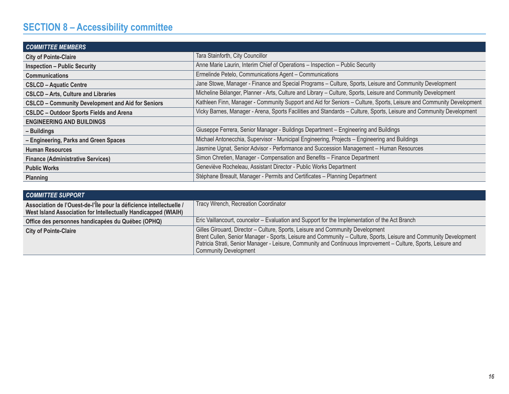# <span id="page-15-0"></span>**SECTION 8 – Accessibility committee**

| <b>COMMITTEE MEMBERS</b>                                 |                                                                                                                     |
|----------------------------------------------------------|---------------------------------------------------------------------------------------------------------------------|
| <b>City of Pointe-Claire</b>                             | Tara Stainforth, City Councillor                                                                                    |
| <b>Inspection - Public Security</b>                      | Anne Marie Laurin, Interim Chief of Operations - Inspection - Public Security                                       |
| <b>Communications</b>                                    | Ermelinde Petelo, Communications Agent - Communications                                                             |
| <b>CSLCD - Aquatic Centre</b>                            | Jane Stowe, Manager - Finance and Special Programs - Culture, Sports, Leisure and Community Development             |
| <b>CSLCD - Arts, Culture and Libraries</b>               | Micheline Bélanger, Planner - Arts, Culture and Library - Culture, Sports, Leisure and Community Development        |
| <b>CSLCD - Community Development and Aid for Seniors</b> | Kathleen Finn, Manager - Community Support and Aid for Seniors - Culture, Sports, Leisure and Community Development |
| <b>CSLDC - Outdoor Sports Fields and Arena</b>           | Vicky Barnes, Manager - Arena, Sports Facilities and Standards - Culture, Sports, Leisure and Community Development |
| <b>ENGINEERING AND BUILDINGS</b>                         |                                                                                                                     |
| - Buildings                                              | Giuseppe Ferrera, Senior Manager - Buildings Department - Engineering and Buildings                                 |
| - Engineering, Parks and Green Spaces                    | Michael Antonecchia, Supervisor - Municipal Engineering, Projects - Engineering and Buildings                       |
| <b>Human Resources</b>                                   | Jasmine Ugnat, Senior Advisor - Performance and Succession Management - Human Resources                             |
| <b>Finance (Administrative Services)</b>                 | Simon Chretien, Manager - Compensation and Benefits - Finance Department                                            |
| <b>Public Works</b>                                      | Geneviève Rocheleau, Assistant Director - Public Works Department                                                   |
| Planning                                                 | Stéphane Breault, Manager - Permits and Certificates - Planning Department                                          |

| <b>COMMITTEE SUPPORT</b>                                                                                                              |                                                                                                                                                                                                                                                                                                                                                       |
|---------------------------------------------------------------------------------------------------------------------------------------|-------------------------------------------------------------------------------------------------------------------------------------------------------------------------------------------------------------------------------------------------------------------------------------------------------------------------------------------------------|
| Association de l'Ouest-de-l'Île pour la déficience intellectuelle /<br>West Island Association for Intellectually Handicapped (WIAIH) | Tracy Wrench, Recreation Coordinator                                                                                                                                                                                                                                                                                                                  |
| Office des personnes handicapées du Québec (OPHQ)                                                                                     | Eric Vaillancourt, councelor - Evaluation and Support for the Implementation of the Act Branch                                                                                                                                                                                                                                                        |
| <b>City of Pointe-Claire</b>                                                                                                          | Gilles Girouard, Director - Culture, Sports, Leisure and Community Development<br>Brent Cullen, Senior Manager - Sports, Leisure and Community - Culture, Sports, Leisure and Community Development<br>Patricia Strati, Senior Manager - Leisure, Community and Continuous Improvement - Culture, Sports, Leisure and<br><b>Community Development</b> |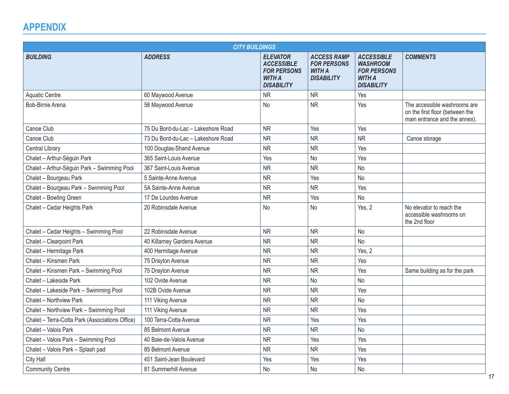# <span id="page-16-0"></span>**APPENDIX**

| <b>CITY BUILDINGS</b>                           |                                    |                                                                                                  |                                                                                |                                                                                                  |                                                                                                  |
|-------------------------------------------------|------------------------------------|--------------------------------------------------------------------------------------------------|--------------------------------------------------------------------------------|--------------------------------------------------------------------------------------------------|--------------------------------------------------------------------------------------------------|
| <b>BUILDING</b>                                 | <b>ADDRESS</b>                     | <b>ELEVATOR</b><br><b>ACCESSIBLE</b><br><b>FOR PERSONS</b><br><b>WITH A</b><br><b>DISABILITY</b> | <b>ACCESS RAMP</b><br><b>FOR PERSONS</b><br><b>WITH A</b><br><b>DISABILITY</b> | <b>ACCESSIBLE</b><br><b>WASHROOM</b><br><b>FOR PERSONS</b><br><b>WITH A</b><br><b>DISABILITY</b> | <b>COMMENTS</b>                                                                                  |
| <b>Aquatic Centre</b>                           | 60 Maywood Avenue                  | <b>NR</b>                                                                                        | <b>NR</b>                                                                      | Yes                                                                                              |                                                                                                  |
| Bob-Birnie Arena                                | 58 Maywood Avenue                  | No                                                                                               | <b>NR</b>                                                                      | Yes                                                                                              | The accessible washrooms are<br>on the first floor (between the<br>main entrance and the annex). |
| Canoe Club                                      | 75 Du Bord-du-Lac - Lakeshore Road | <b>NR</b>                                                                                        | Yes                                                                            | Yes                                                                                              |                                                                                                  |
| Canoe Club                                      | 73 Du Bord-du-Lac - Lakeshore Road | <b>NR</b>                                                                                        | <b>NR</b>                                                                      | <b>NR</b>                                                                                        | Canoe storage                                                                                    |
| Central Library                                 | 100 Douglas-Shand Avenue           | <b>NR</b>                                                                                        | <b>NR</b>                                                                      | Yes                                                                                              |                                                                                                  |
| Chalet - Arthur-Séguin Park                     | 365 Saint-Louis Avenue             | Yes                                                                                              | <b>No</b>                                                                      | Yes                                                                                              |                                                                                                  |
| Chalet - Arthur-Séguin Park - Swimming Pool     | 367 Saint-Louis Avenue             | <b>NR</b>                                                                                        | <b>NR</b>                                                                      | No                                                                                               |                                                                                                  |
| Chalet - Bourgeau Park                          | 5 Sainte-Anne Avenue               | <b>NR</b>                                                                                        | Yes                                                                            | No                                                                                               |                                                                                                  |
| Chalet - Bourgeau Park - Swimming Pool          | 5A Sainte-Anne Avenue              | <b>NR</b>                                                                                        | <b>NR</b>                                                                      | Yes                                                                                              |                                                                                                  |
| Chalet - Bowling Green                          | 17 De Lourdes Avenue               | <b>NR</b>                                                                                        | Yes                                                                            | No                                                                                               |                                                                                                  |
| Chalet - Cedar Heights Park                     | 20 Robinsdale Avenue               | <b>No</b>                                                                                        | <b>No</b>                                                                      | Yes, 2                                                                                           | No elevator to reach the<br>accessible washrooms on<br>the 2nd floor                             |
| Chalet - Cedar Heights - Swimming Pool          | 22 Robinsdale Avenue               | <b>NR</b>                                                                                        | <b>NR</b>                                                                      | <b>No</b>                                                                                        |                                                                                                  |
| Chalet - Clearpoint Park                        | 40 Killarney Gardens Avenue        | <b>NR</b>                                                                                        | <b>NR</b>                                                                      | No                                                                                               |                                                                                                  |
| Chalet - Hermitage Park                         | 400 Hermitage Avenue               | <b>NR</b>                                                                                        | <b>NR</b>                                                                      | Yes, 2                                                                                           |                                                                                                  |
| Chalet - Kinsmen Park                           | 75 Drayton Avenue                  | <b>NR</b>                                                                                        | <b>NR</b>                                                                      | Yes                                                                                              |                                                                                                  |
| Chalet - Kinsmen Park - Swimming Pool           | 75 Drayton Avenue                  | <b>NR</b>                                                                                        | <b>NR</b>                                                                      | Yes                                                                                              | Same building as for the park                                                                    |
| Chalet - Lakeside Park                          | 102 Ovide Avenue                   | <b>NR</b>                                                                                        | No                                                                             | No                                                                                               |                                                                                                  |
| Chalet - Lakeside Park - Swimming Pool          | 102B Ovide Avenue                  | <b>NR</b>                                                                                        | <b>NR</b>                                                                      | Yes                                                                                              |                                                                                                  |
| Chalet - Northview Park                         | 111 Viking Avenue                  | <b>NR</b>                                                                                        | <b>NR</b>                                                                      | <b>No</b>                                                                                        |                                                                                                  |
| Chalet - Northview Park - Swimming Pool         | 111 Viking Avenue                  | <b>NR</b>                                                                                        | <b>NR</b>                                                                      | Yes                                                                                              |                                                                                                  |
| Chalet - Terra-Cotta Park (Associations Office) | 100 Terra-Cotta Avenue             | <b>NR</b>                                                                                        | Yes                                                                            | Yes                                                                                              |                                                                                                  |
| Chalet - Valois Park                            | 85 Belmont Avenue                  | <b>NR</b>                                                                                        | <b>NR</b>                                                                      | No                                                                                               |                                                                                                  |
| Chalet - Valois Park - Swimming Pool            | 40 Baie-de-Valois Avenue           | <b>NR</b>                                                                                        | Yes                                                                            | Yes                                                                                              |                                                                                                  |
| Chalet - Valois Park - Splash pad               | 85 Belmont Avenue                  | <b>NR</b>                                                                                        | <b>NR</b>                                                                      | Yes                                                                                              |                                                                                                  |
| City Hall                                       | 451 Saint-Jean Boulevard           | Yes                                                                                              | Yes                                                                            | Yes                                                                                              |                                                                                                  |
| <b>Community Centre</b>                         | 81 Summerhill Avenue               | No                                                                                               | No                                                                             | <b>No</b>                                                                                        |                                                                                                  |